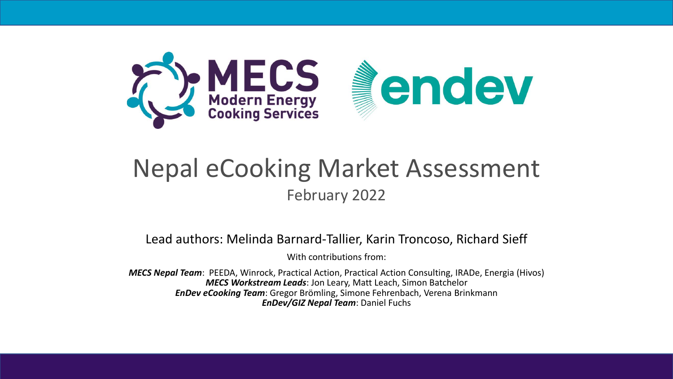

#### Nepal eCooking Market Assessment February 2022

Lead authors: Melinda Barnard-Tallier, Karin Troncoso, Richard Sieff

With contributions from:

*MECS Nepal Team*: PEEDA, Winrock, Practical Action, Practical Action Consulting, IRADe, Energia (Hivos) *MECS Workstream Leads*: Jon Leary, Matt Leach, Simon Batchelor *EnDev eCooking Team*: Gregor Brömling, Simone Fehrenbach, Verena Brinkmann *EnDev/GIZ Nepal Team*: Daniel Fuchs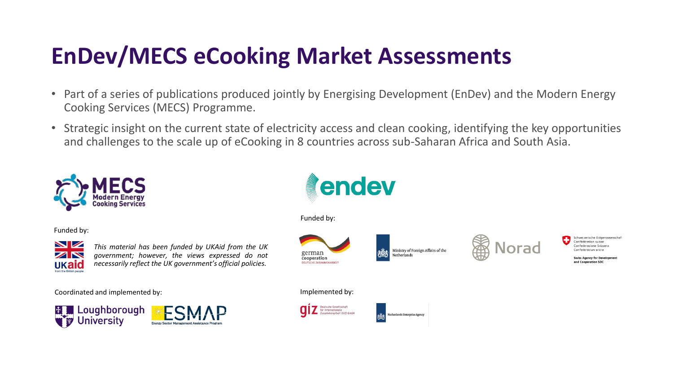### **EnDev/MECS eCooking Market Assessments**

- Part of a series of publications produced jointly by Energising Development (EnDev) and the Modern Energy Cooking Services (MECS) Programme.
- Strategic insight on the current state of electricity access and clean cooking, identifying the key opportunities and challenges to the scale up of eCooking in 8 countries across sub-Saharan Africa and South Asia.



Funded by:



*This material has been funded by UKAid from the UK government; however, the views expressed do not necessarily reflect the UK government's official policies.*

Coordinated and implemented by:





Funded by:



Ministry of Foreign Affairs of the

letherlands Enterprise Ageno



hweizerische Eidgenossenschaf confédération suisse nfederazione Svizzer.

Implemented by:

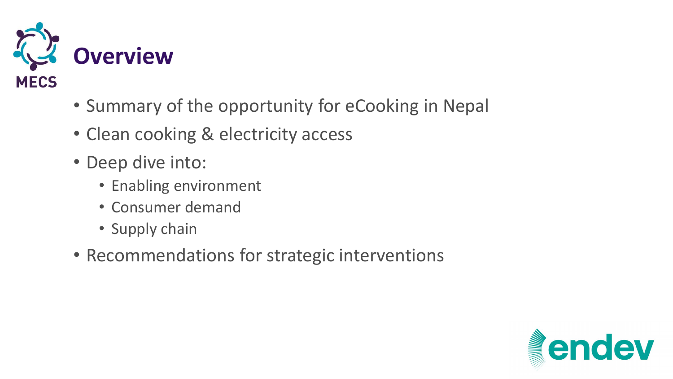

- Summary of the opportunity for eCooking in Nepal
- Clean cooking & electricity access
- Deep dive into:
	- Enabling environment
	- Consumer demand
	- Supply chain
- Recommendations for strategic interventions

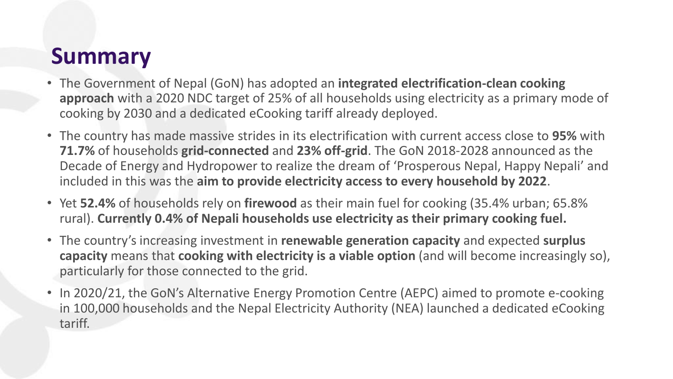#### **Summary**

- The Government of Nepal (GoN) has adopted an **integrated electrification-clean cooking approach** with a 2020 NDC target of 25% of all households using electricity as a primary mode of cooking by 2030 and a dedicated eCooking tariff already deployed.
- The country has made massive strides in its electrification with current access close to **95%** with **71.7%** of households **grid-connected** and **23% off-grid**. The GoN 2018-2028 announced as the Decade of Energy and Hydropower to realize the dream of 'Prosperous Nepal, Happy Nepali' and included in this was the **aim to provide electricity access to every household by 2022**.
- Yet **52.4%** of households rely on **firewood** as their main fuel for cooking (35.4% urban; 65.8% rural). **Currently 0.4% of Nepali households use electricity as their primary cooking fuel.**
- The country's increasing investment in **renewable generation capacity** and expected **surplus capacity** means that **cooking with electricity is a viable option** (and will become increasingly so), particularly for those connected to the grid.
- In 2020/21, the GoN's Alternative Energy Promotion Centre (AEPC) aimed to promote e-cooking in 100,000 households and the Nepal Electricity Authority (NEA) launched a dedicated eCooking tariff.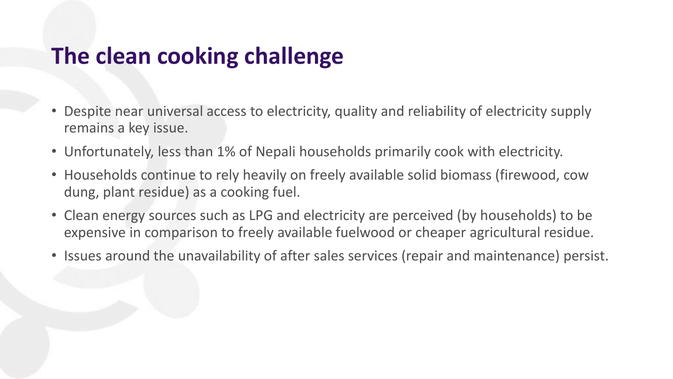#### **The clean cooking challenge**

- Despite near universal access to electricity, quality and reliability of electricity supply remains a key issue.
- Unfortunately, less than 1% of Nepali households primarily cook with electricity.
- Households continue to rely heavily on freely available solid biomass (firewood, cow dung, plant residue) as a cooking fuel.
- Clean energy sources such as LPG and electricity are perceived (by households) to be expensive in comparison to freely available fuelwood or cheaper agricultural residue.
- Issues around the unavailability of after sales services (repair and maintenance) persist.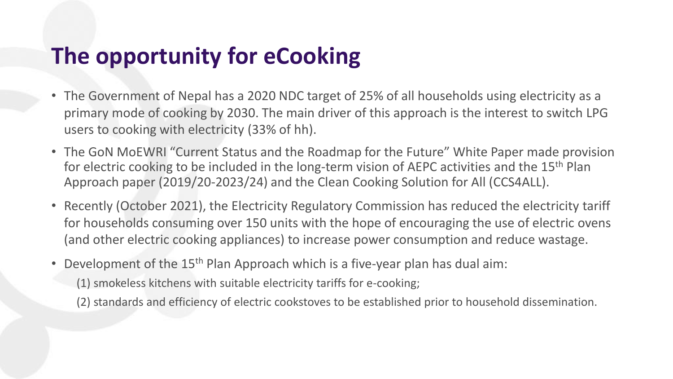### **The opportunity for eCooking**

- The Government of Nepal has a 2020 NDC target of 25% of all households using electricity as a primary mode of cooking by 2030. The main driver of this approach is the interest to switch LPG users to cooking with electricity (33% of hh).
- The GoN MoEWRI "Current Status and the Roadmap for the Future" White Paper made provision for electric cooking to be included in the long-term vision of AEPC activities and the 15<sup>th</sup> Plan Approach paper (2019/20-2023/24) and the Clean Cooking Solution for All (CCS4ALL).
- Recently (October 2021), the Electricity Regulatory Commission has reduced the electricity tariff for households consuming over 150 units with the hope of encouraging the use of electric ovens (and other electric cooking appliances) to increase power consumption and reduce wastage.
- Development of the 15<sup>th</sup> Plan Approach which is a five-year plan has dual aim:
	- (1) smokeless kitchens with suitable electricity tariffs for e-cooking;
	- (2) standards and efficiency of electric cookstoves to be established prior to household dissemination.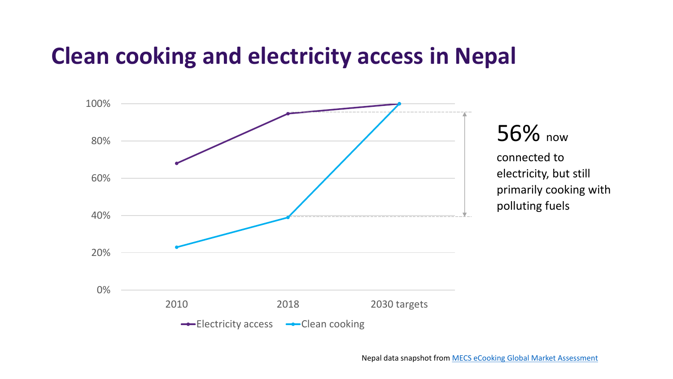#### **Clean cooking and electricity access in Nepal**



Nepal data snapshot from MECS eCooking Global Market [Assessment](https://mecs.org.uk/gma/)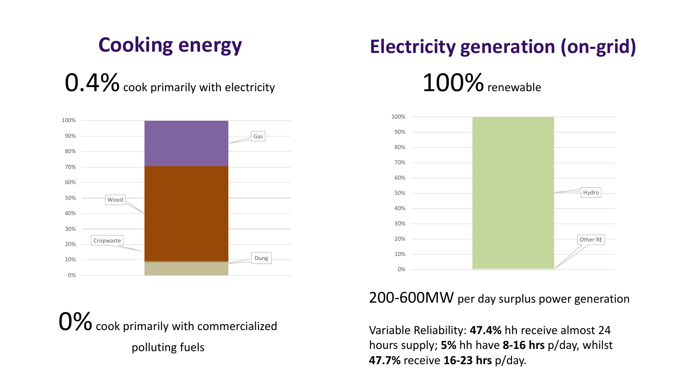### **Cooking energy**

 $0.4\%$  cook primarily with electricity



 $0\%$  cook primarily with commercialized polluting fuels

# **Electricity generation (on-grid)**

 $100\%$  renewable



#### 200-600MW per day surplus power generation

Variable Reliability: **47.4%** hh receive almost 24 hours supply; **5%** hh have **8-16 hrs** p/day, whilst **47.7%** receive **16-23 hrs** p/day.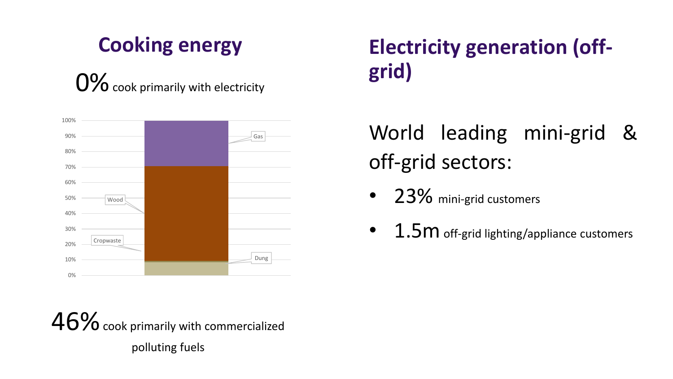### **Cooking energy**

**O%** cook primarily with electricity **grid** 



 $46%$  cook primarily with commercialized polluting fuels

# **Electricity generation (off-**

### World leading mini-grid & off-grid sectors:

- 23% mini-grid customers
- $1.5m$  off-grid lighting/appliance customers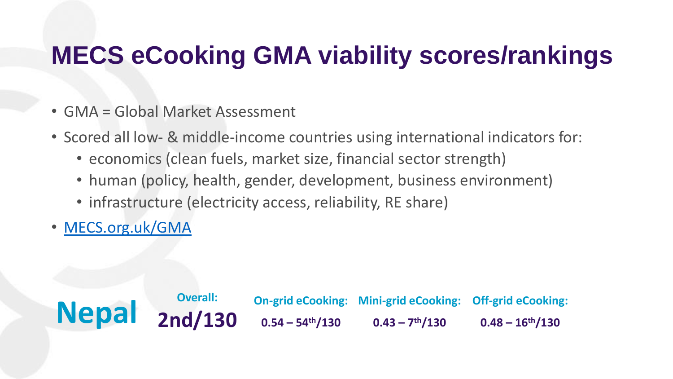# **MECS eCooking GMA viability scores/rankings**

- GMA = Global Market Assessment
- Scored all low- & middle-income countries using international indicators for:
	- economics (clean fuels, market size, financial sector strength)
	- human (policy, health, gender, development, business environment)
	- infrastructure (electricity access, reliability, RE share)
- [MECS.org.uk/GMA](http://www.mecs.org.uk/GMA)

Nepal <sub>2nd/1</sub>: **2nd/130 On-grid eCooking: Mini-grid eCooking: 0.54 – 54th/130 0.43 – 7 th/130 Off-grid eCooking: 0.48 – 16th/130**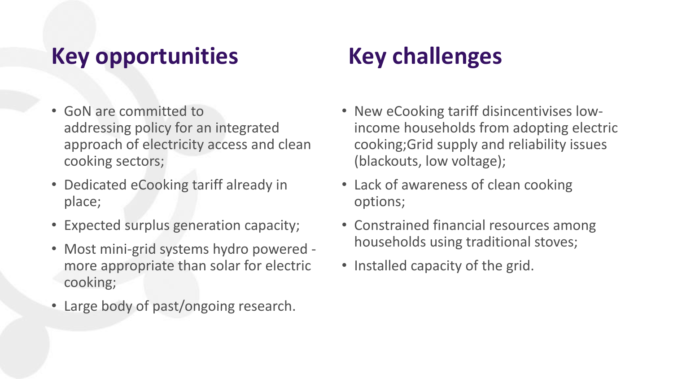### **Key opportunities**

- GoN are committed to addressing policy for an integrated approach of electricity access and clean cooking sectors;
- Dedicated eCooking tariff already in place;
- Expected surplus generation capacity;
- Most mini-grid systems hydro powered more appropriate than solar for electric cooking;
- Large body of past/ongoing research.

# **Key challenges**

- New eCooking tariff disincentivises lowincome households from adopting electric cooking;Grid supply and reliability issues (blackouts, low voltage);
- Lack of awareness of clean cooking options;
- Constrained financial resources among households using traditional stoves;
- Installed capacity of the grid.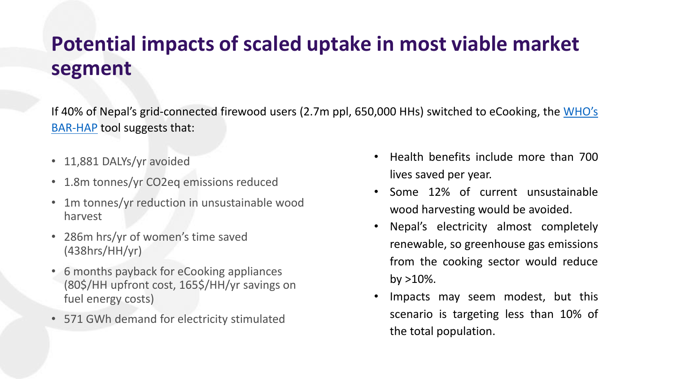#### **Potential impacts of scaled uptake in most viable market segment**

If 40% of Nepal's [grid-connected](https://www.who.int/publications/m/item/benefits-of-action-to-reduce-household-air-pollution-(bar-hap)-tool-(version-2-july-2021)) firewood users (2.7m ppl, 650,000 HHs) switched to eCooking, the WHO's BAR-HAP tool suggests that:

- 11,881 DALYs/yr avoided
- 1.8m tonnes/yr CO2eq emissions reduced
- 1m tonnes/yr reduction in unsustainable wood harvest
- 286m hrs/yr of women's time saved (438hrs/HH/yr)
- 6 months payback for eCooking appliances (80\$/HH upfront cost, 165\$/HH/yr savings on fuel energy costs)
- 571 GWh demand for electricity stimulated
- Health benefits include more than 700 lives saved per year.
- Some 12% of current unsustainable wood harvesting would be avoided.
- Nepal's electricity almost completely renewable, so greenhouse gas emissions from the cooking sector would reduce by  $>10\%$ .
- Impacts may seem modest, but this scenario is targeting less than 10% of the total population.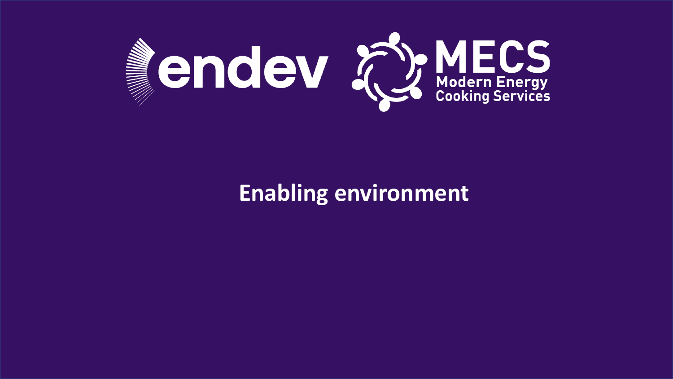

#### **Enabling environment**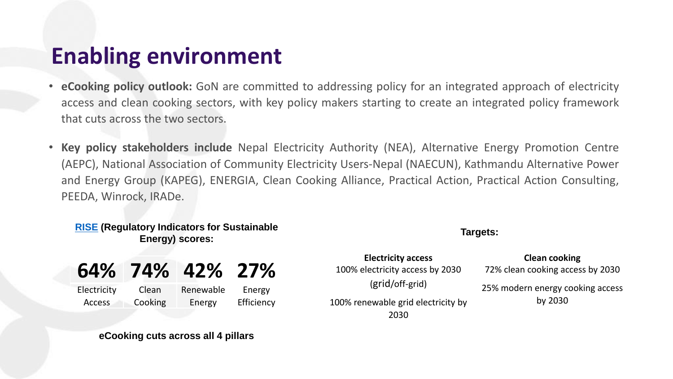### **Enabling environment**

- **eCooking policy outlook:** GoN are committed to addressing policy for an integrated approach of electricity access and clean cooking sectors, with key policy makers starting to create an integrated policy framework that cuts across the two sectors.
- **Key policy stakeholders include** Nepal Electricity Authority (NEA), Alternative Energy Promotion Centre (AEPC), National Association of Community Electricity Users-Nepal (NAECUN), Kathmandu Alternative Power and Energy Group (KAPEG), ENERGIA, Clean Cooking Alliance, Practical Action, Practical Action Consulting, PEEDA, Winrock, IRADe.

#### **[RISE](https://rise.esmap.org/) (Regulatory Indicators for Sustainable Energy) scores:**

| 64%           | 74%     | 42%       | <b>27%</b> |
|---------------|---------|-----------|------------|
| Electricity   | Clean   | Renewable | Energy     |
| <b>Access</b> | Cooking | Energy    | Efficiency |

#### **eCooking cuts across all 4 pillars**

**Electricity access Clean cooking** 100% electricity access by 2030 (grid/off-grid) 100% renewable grid electricity by 2030

**Targets:**

72% clean cooking access by 2030

25% modern energy cooking access by 2030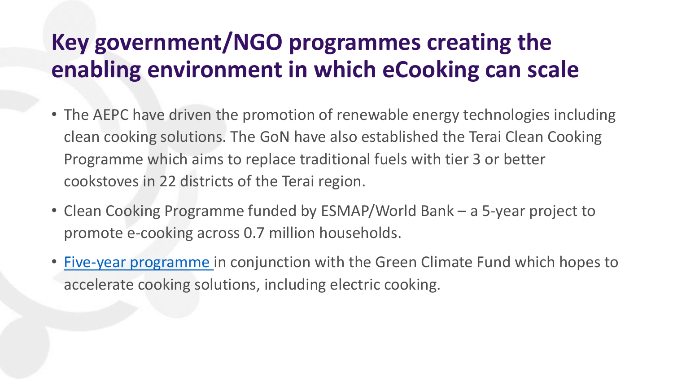### **Key government/NGO programmes creating the enabling environment in which eCooking can scale**

- The AEPC have driven the promotion of renewable energy technologies including clean cooking solutions. The GoN have also established the Terai Clean Cooking Programme which aims to replace traditional fuels with tier 3 or better cookstoves in 22 districts of the Terai region.
- Clean Cooking Programme funded by ESMAP/World Bank a 5-year project to promote e-cooking across 0.7 million households.
- [Five-year programme](https://www.mofe.gov.np/downloadfile/E-cooking%20Assmnt_NDC%202020_1623998059.pdf) in conjunction with the Green Climate Fund which hopes to accelerate cooking solutions, including electric cooking.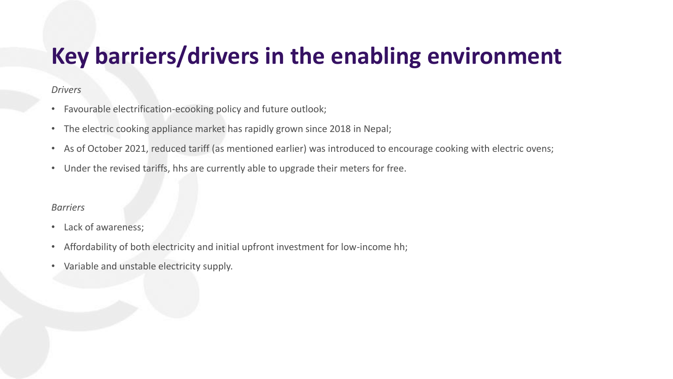### **Key barriers/drivers in the enabling environment**

#### *Drivers*

- Favourable electrification-ecooking policy and future outlook;
- The electric cooking appliance market has rapidly grown since 2018 in Nepal;
- As of October 2021, reduced tariff (as mentioned earlier) was introduced to encourage cooking with electric ovens;
- Under the revised tariffs, hhs are currently able to upgrade their meters for free.

#### *Barriers*

- Lack of awareness;
- Affordability of both electricity and initial upfront investment for low-income hh;
- Variable and unstable electricity supply.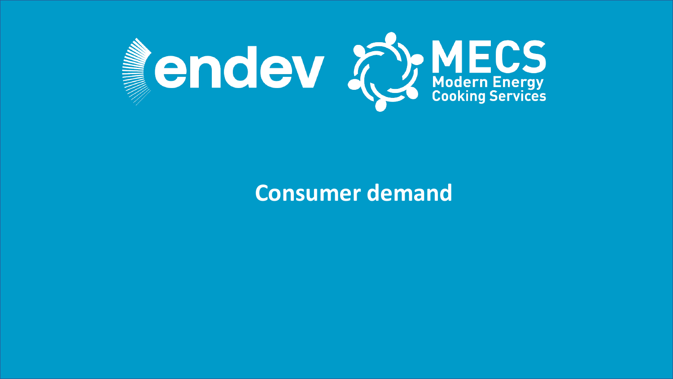

#### **Consumer demand**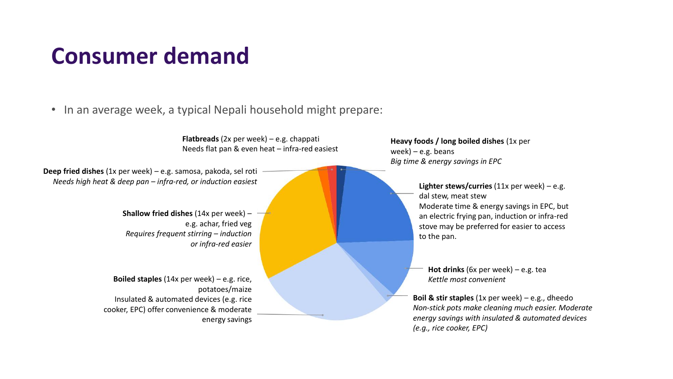#### **Consumer demand**

#### • In an average week, a typical Nepali household might prepare:

**Heavy foods / long boiled dishes** (1x per week) – e.g. beans *Big time & energy savings in EPC* **Shallow fried dishes** (14x per week) – e.g. achar, fried veg *Requires frequent stirring – induction or infra-red easier* **Lighter stews/curries** (11x per week) – e.g. dal stew, meat stew Moderate time & energy savings in EPC, but an electric frying pan, induction or infra-red stove may be preferred for easier to access to the pan. **Boiled staples** (14x per week) – e.g. rice, potatoes/maize Insulated & automated devices (e.g. rice cooker, EPC) offer convenience & moderate energy savings **Hot drinks** (6x per week) – e.g. tea *Kettle most convenient* **Deep fried dishes** (1x per week) – e.g. samosa, pakoda, sel roti *Needs high heat & deep pan – infra-red, or induction easiest* **Flatbreads** (2x per week) – e.g. chappati Needs flat pan & even heat – infra-red easiest **Boil & stir staples** (1x per week) – e.g., dheedo *Non-stick pots make cleaning much easier. Moderate energy savings with insulated & automated devices (e.g., rice cooker, EPC)*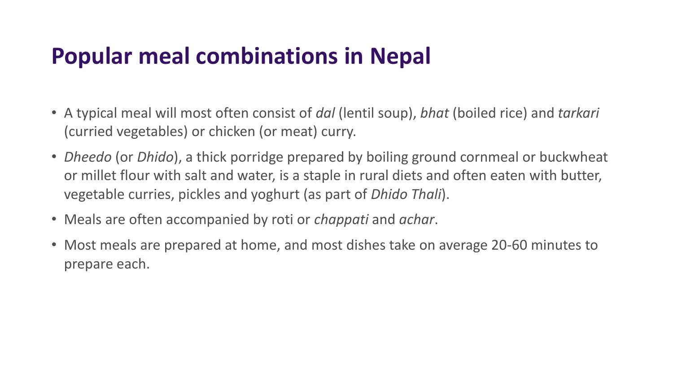### **Popular meal combinations in Nepal**

- A typical meal will most often consist of *dal* (lentil soup), *bhat* (boiled rice) and *tarkari* (curried vegetables) or chicken (or meat) curry.
- *Dheedo* (or *Dhido*), a thick porridge prepared by boiling ground cornmeal or buckwheat or millet flour with salt and water, is a staple in rural diets and often eaten with butter, vegetable curries, pickles and yoghurt (as part of *Dhido Thali*).
- Meals are often accompanied by roti or *chappati* and *achar*.
- Most meals are prepared at home, and most dishes take on average 20-60 minutes to prepare each.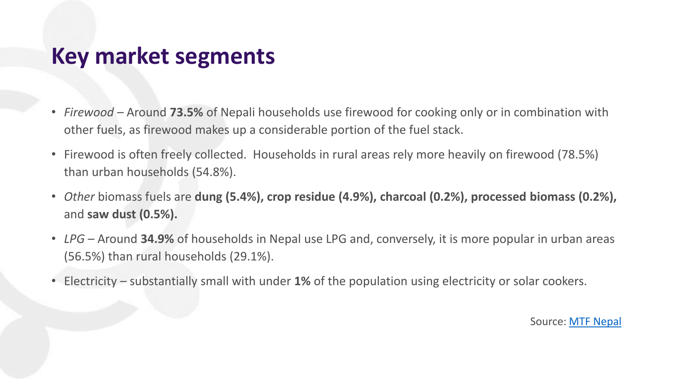#### **Key market segments**

- *Firewood –* Around **73.5%** of Nepali households use firewood for cooking only or in combination with other fuels, as firewood makes up a considerable portion of the fuel stack.
- Firewood is often freely collected. Households in rural areas rely more heavily on firewood (78.5%) than urban households (54.8%).
- *Other* biomass fuels are **dung (5.4%), crop residue (4.9%), charcoal (0.2%), processed biomass (0.2%),** and **saw dust (0.5%).**
- *LPG*  Around **34.9%** of households in Nepal use LPG and, conversely, it is more popular in urban areas (56.5%) than rural households (29.1%).
- Electricity substantially small with under **1%** of the population using electricity or solar cookers.

Source: [MTF Nepal](https://openknowledge.worldbank.org/handle/10986/35266)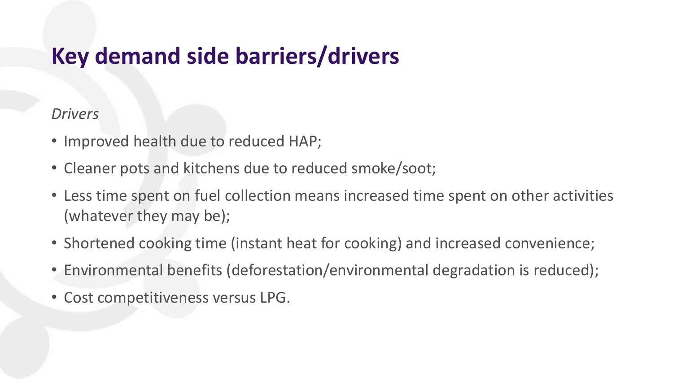### **Key demand side barriers/drivers**

#### *Drivers*

- Improved health due to reduced HAP;
- Cleaner pots and kitchens due to reduced smoke/soot;
- Less time spent on fuel collection means increased time spent on other activities (whatever they may be);
- Shortened cooking time (instant heat for cooking) and increased convenience;
- Environmental benefits (deforestation/environmental degradation is reduced);
- Cost competitiveness versus LPG.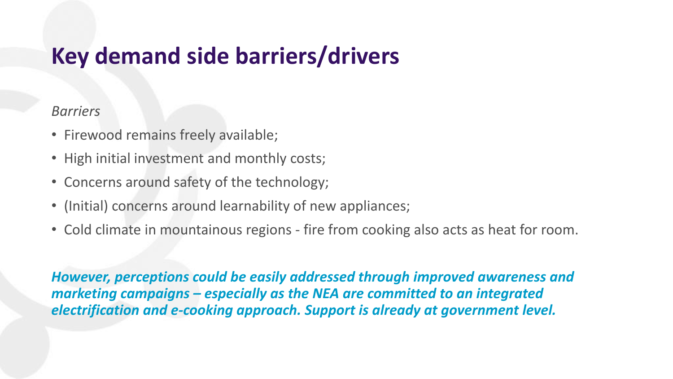### **Key demand side barriers/drivers**

#### *Barriers*

- Firewood remains freely available;
- High initial investment and monthly costs;
- Concerns around safety of the technology;
- (Initial) concerns around learnability of new appliances;
- Cold climate in mountainous regions fire from cooking also acts as heat for room.

*However, perceptions could be easily addressed through improved awareness and marketing campaigns – especially as the NEA are committed to an integrated electrification and e-cooking approach. Support is already at government level.*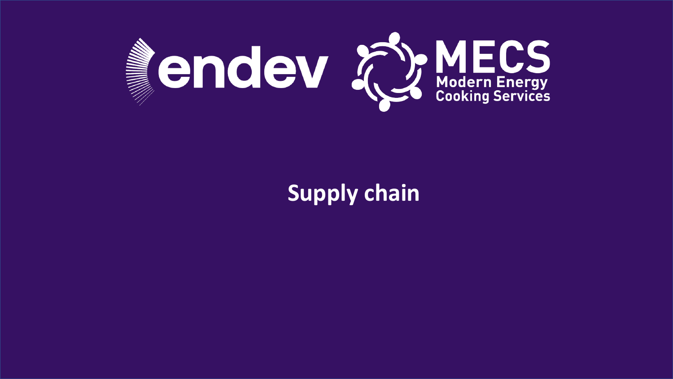

#### **Supply chain**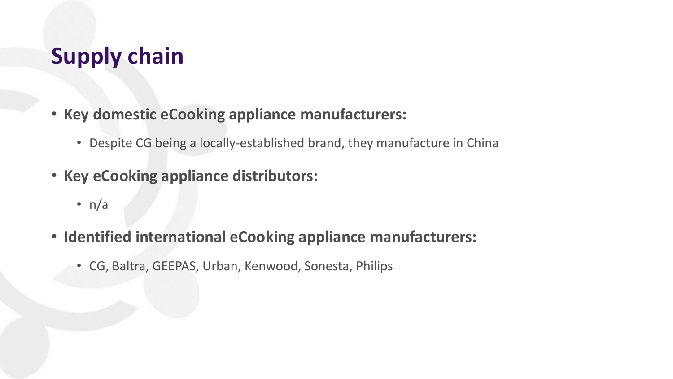#### **Supply chain**

- **Key domestic eCooking appliance manufacturers:**
	- Despite CG being a locally-established brand, they manufacture in China
- **Key eCooking appliance distributors:**
	- $n/a$
- **Identified international eCooking appliance manufacturers:**
	- CG, Baltra, GEEPAS, Urban, Kenwood, Sonesta, Philips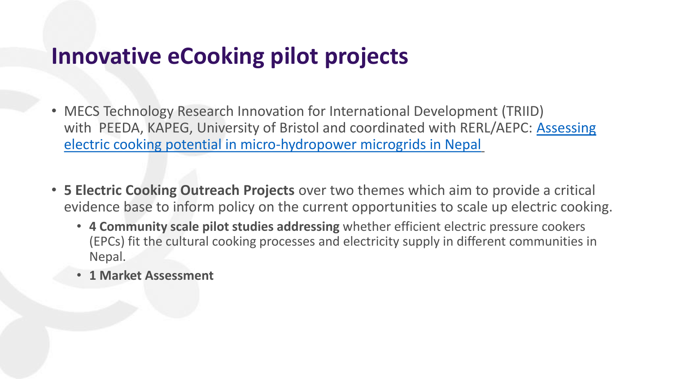#### **Innovative eCooking pilot projects**

- MECS Technology Research Innovation for International Development (TRIID) with [PEEDA, KAPEG, University of Bristol and coordinated with RERL/AEPC: Assessing](https://mecs.org.uk/wp-content/uploads/2020/12/MECS-TRIID-PEEDA_updated-Report.pdf) electric cooking potential in micro-hydropower microgrids in Nepal
- **5 Electric Cooking Outreach Projects** over two themes which aim to provide a critical evidence base to inform policy on the current opportunities to scale up electric cooking.
	- **4 Community scale pilot studies addressing** whether efficient electric pressure cookers (EPCs) fit the cultural cooking processes and electricity supply in different communities in Nepal.
	- **1 Market Assessment**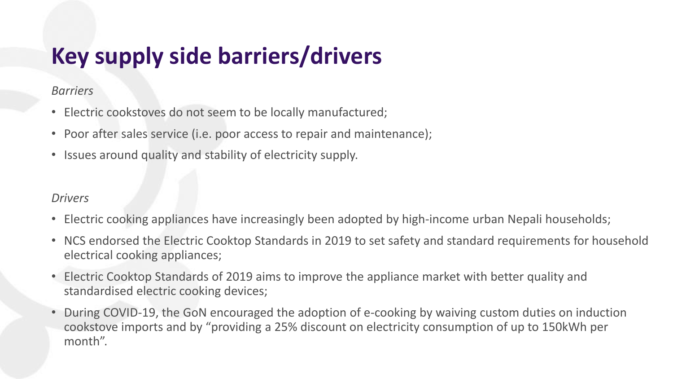### **Key supply side barriers/drivers**

#### *Barriers*

- Electric cookstoves do not seem to be locally manufactured;
- Poor after sales service (i.e. poor access to repair and maintenance);
- Issues around quality and stability of electricity supply.

#### *Drivers*

- Electric cooking appliances have increasingly been adopted by high-income urban Nepali households;
- NCS endorsed the Electric Cooktop Standards in 2019 to set safety and standard requirements for household electrical cooking appliances;
- Electric Cooktop Standards of 2019 aims to improve the appliance market with better quality and standardised electric cooking devices;
- During COVID-19, the GoN encouraged the adoption of e-cooking by waiving custom duties on induction cookstove imports and by "providing a 25% discount on electricity consumption of up to 150kWh per month".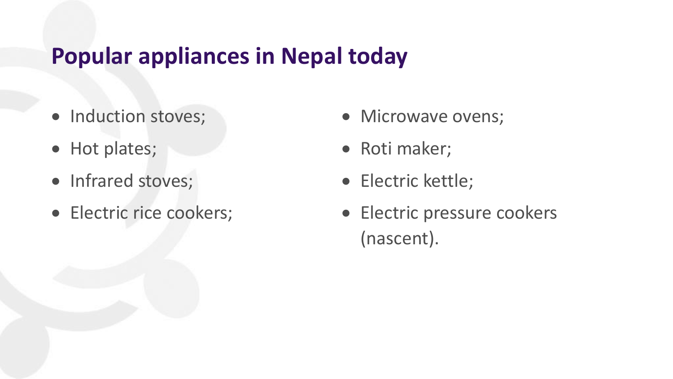#### **Popular appliances in Nepal today**

- Induction stoves;
- Hot plates;
- Infrared stoves;
- Electric rice cookers;
- Microwave ovens;
- Roti maker;
- Electric kettle;
- Electric pressure cookers (nascent).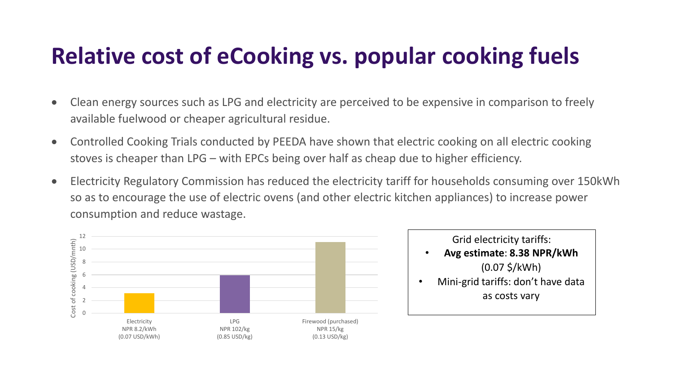### **Relative cost of eCooking vs. popular cooking fuels**

- Clean energy sources such as LPG and electricity are perceived to be expensive in comparison to freely available fuelwood or cheaper agricultural residue.
- Controlled Cooking Trials conducted by PEEDA have shown that electric cooking on all electric cooking stoves is cheaper than LPG – with EPCs being over half as cheap due to higher efficiency.
- Electricity Regulatory Commission has reduced the electricity tariff for households consuming over 150kWh so as to encourage the use of electric ovens (and other electric kitchen appliances) to increase power consumption and reduce wastage.



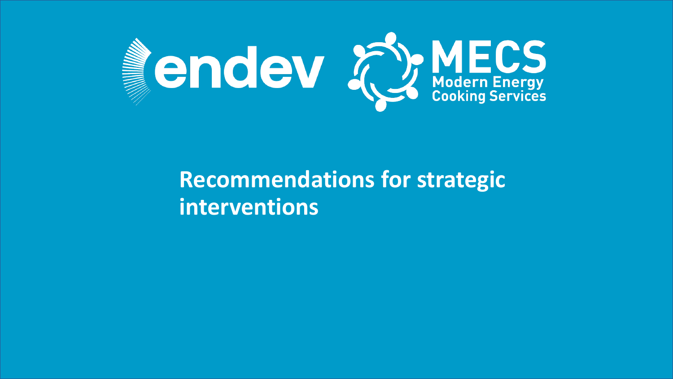

#### **Recommendations for strategic interventions**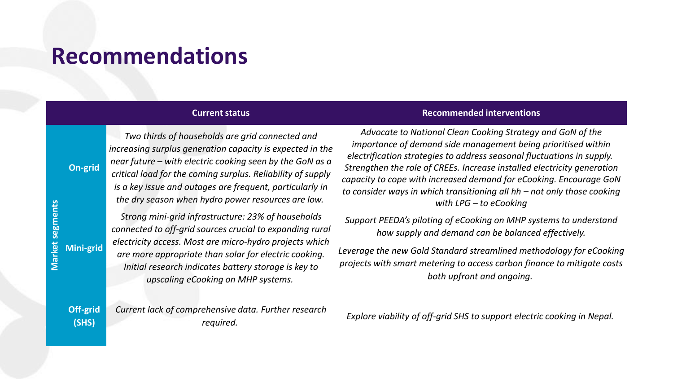#### **Recommendations**

**On-grid**

*Two thirds of households are grid connected and increasing surplus generation capacity is expected in the near future – with electric cooking seen by the GoN as a critical load for the coming surplus. Reliability of supply is a key issue and outages are frequent, particularly in the dry season when hydro power resources are low.*

Market segments **Market segments Mini-grid**

*Strong mini-grid infrastructure: 23% of households connected to off-grid sources crucial to expanding rural electricity access. Most are micro-hydro projects which are more appropriate than solar for electric cooking. Initial research indicates battery storage is key to upscaling eCooking on MHP systems.*

**Current status Current status Recommended interventions** 

*Advocate to National Clean Cooking Strategy and GoN of the importance of demand side management being prioritised within electrification strategies to address seasonal fluctuations in supply. Strengthen the role of CREEs. Increase installed electricity generation capacity to cope with increased demand for eCooking. Encourage GoN to consider ways in which transitioning all hh – not only those cooking with LPG – to eCooking*

*Support PEEDA's piloting of eCooking on MHP systems to understand how supply and demand can be balanced effectively.* 

*Leverage the new Gold Standard streamlined methodology for eCooking projects with smart metering to access carbon finance to mitigate costs both upfront and ongoing.*

**Off-grid (SHS)** *Current lack of comprehensive data. Further research* 

*required. Explore viability of off-grid SHS to support electric cooking in Nepal.*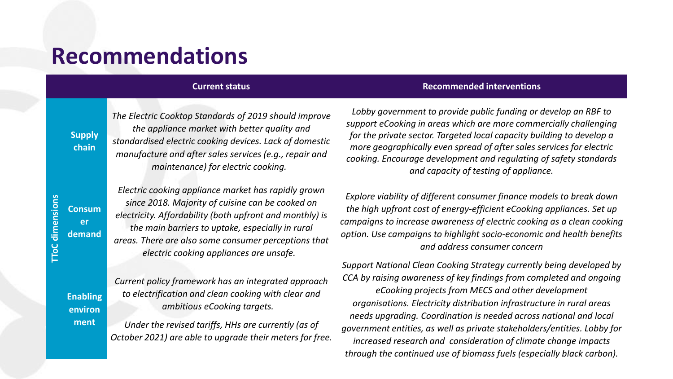#### **Recommendations**

*The Electric Cooktop Standards of 2019 should improve the appliance market with better quality and standardised electric cooking devices. Lack of domestic manufacture and after sales services (e.g., repair and maintenance) for electric cooking.*

*Electric cooking appliance market has rapidly grown since 2018. Majority of cuisine can be cooked on electricity. Affordability (both upfront and monthly) is the main barriers to uptake, especially in rural areas. There are also some consumer perceptions that electric cooking appliances are unsafe.*

*Current policy framework has an integrated approach to electrification and clean cooking with clear and ambitious eCooking targets.*

*Under the revised tariffs, HHs are currently (as of October 2021) are able to upgrade their meters for free.*

#### **Current status Current status Recommended interventions**

*Lobby government to provide public funding or develop an RBF to support eCooking in areas which are more commercially challenging for the private sector. Targeted local capacity building to develop a more geographically even spread of after sales services for electric cooking. Encourage development and regulating of safety standards and capacity of testing of appliance.*

*Explore viability of different consumer finance models to break down the high upfront cost of energy-efficient eCooking appliances. Set up campaigns to increase awareness of electric cooking as a clean cooking option. Use campaigns to highlight socio-economic and health benefits and address consumer concern*

*Support National Clean Cooking Strategy currently being developed by CCA by raising awareness of key findings from completed and ongoing eCooking projects from MECS and other development organisations. Electricity distribution infrastructure in rural areas needs upgrading. Coordination is needed across national and local government entities, as well as private stakeholders/entities. Lobby for increased research and consideration of climate change impacts through the continued use of biomass fuels (especially black carbon).*

**Supply chain**

**Enabling environ ment**